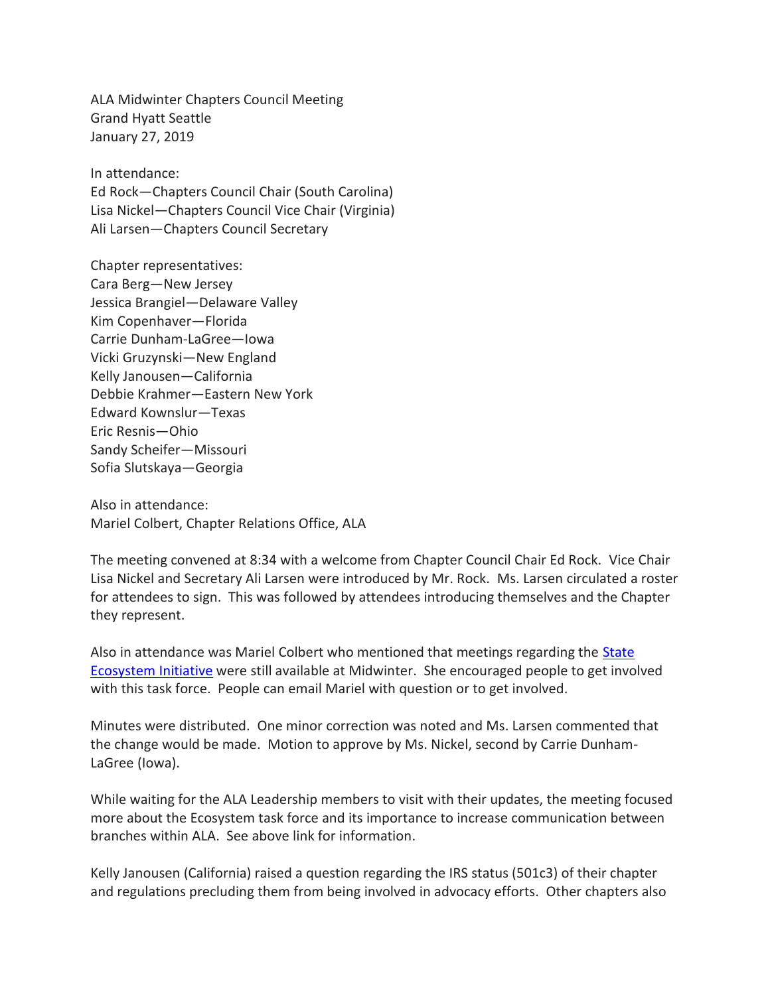ALA Midwinter Chapters Council Meeting Grand Hyatt Seattle January 27, 2019

In attendance: Ed Rock—Chapters Council Chair (South Carolina) Lisa Nickel—Chapters Council Vice Chair (Virginia) Ali Larsen—Chapters Council Secretary

Chapter representatives: Cara Berg—New Jersey Jessica Brangiel—Delaware Valley Kim Copenhaver—Florida Carrie Dunham-LaGree—Iowa Vicki Gruzynski—New England Kelly Janousen—California Debbie Krahmer—Eastern New York Edward Kownslur—Texas Eric Resnis—Ohio Sandy Scheifer—Missouri Sofia Slutskaya—Georgia

Also in attendance: Mariel Colbert, Chapter Relations Office, ALA

The meeting convened at 8:34 with a welcome from Chapter Council Chair Ed Rock. Vice Chair Lisa Nickel and Secretary Ali Larsen were introduced by Mr. Rock. Ms. Larsen circulated a roster for attendees to sign. This was followed by attendees introducing themselves and the Chapter they represent.

Also in attendance was Mariel Colbert who mentioned that meetings regarding the [State](http://www.ala.org/advocacy/state-ecosystem-initiative)  [Ecosystem Initiative](http://www.ala.org/advocacy/state-ecosystem-initiative) were still available at Midwinter. She encouraged people to get involved with this task force. People can email Mariel with question or to get involved.

Minutes were distributed. One minor correction was noted and Ms. Larsen commented that the change would be made. Motion to approve by Ms. Nickel, second by Carrie Dunham-LaGree (Iowa).

While waiting for the ALA Leadership members to visit with their updates, the meeting focused more about the Ecosystem task force and its importance to increase communication between branches within ALA. See above link for information.

Kelly Janousen (California) raised a question regarding the IRS status (501c3) of their chapter and regulations precluding them from being involved in advocacy efforts. Other chapters also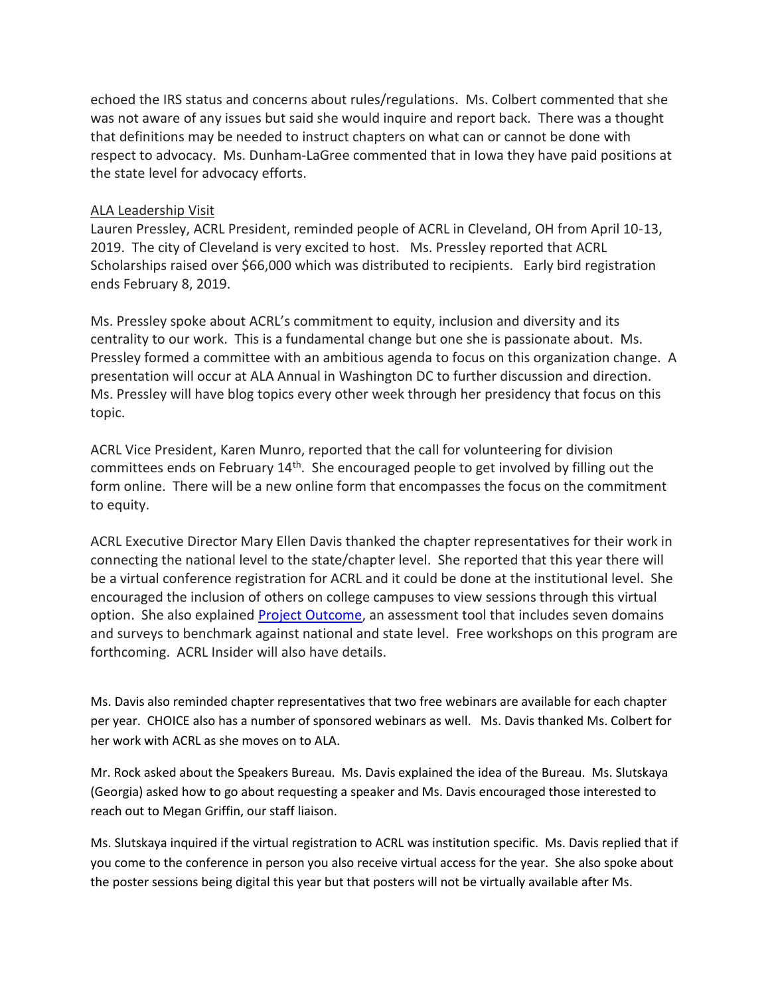echoed the IRS status and concerns about rules/regulations. Ms. Colbert commented that she was not aware of any issues but said she would inquire and report back. There was a thought that definitions may be needed to instruct chapters on what can or cannot be done with respect to advocacy. Ms. Dunham-LaGree commented that in Iowa they have paid positions at the state level for advocacy efforts.

## ALA Leadership Visit

Lauren Pressley, ACRL President, reminded people of ACRL in Cleveland, OH from April 10-13, 2019. The city of Cleveland is very excited to host. Ms. Pressley reported that ACRL Scholarships raised over \$66,000 which was distributed to recipients. Early bird registration ends February 8, 2019.

Ms. Pressley spoke about ACRL's commitment to equity, inclusion and diversity and its centrality to our work. This is a fundamental change but one she is passionate about. Ms. Pressley formed a committee with an ambitious agenda to focus on this organization change. A presentation will occur at ALA Annual in Washington DC to further discussion and direction. Ms. Pressley will have blog topics every other week through her presidency that focus on this topic.

ACRL Vice President, Karen Munro, reported that the call for volunteering for division committees ends on February  $14<sup>th</sup>$ . She encouraged people to get involved by filling out the form online. There will be a new online form that encompasses the focus on the commitment to equity.

ACRL Executive Director Mary Ellen Davis thanked the chapter representatives for their work in connecting the national level to the state/chapter level. She reported that this year there will be a virtual conference registration for ACRL and it could be done at the institutional level. She encouraged the inclusion of others on college campuses to view sessions through this virtual option. She also explained **Project Outcome**, an assessment tool that includes seven domains and surveys to benchmark against national and state level. Free workshops on this program are forthcoming. ACRL Insider will also have details.

Ms. Davis also reminded chapter representatives that two free webinars are available for each chapter per year. CHOICE also has a number of sponsored webinars as well. Ms. Davis thanked Ms. Colbert for her work with ACRL as she moves on to ALA.

Mr. Rock asked about the Speakers Bureau. Ms. Davis explained the idea of the Bureau. Ms. Slutskaya (Georgia) asked how to go about requesting a speaker and Ms. Davis encouraged those interested to reach out to Megan Griffin, our staff liaison.

Ms. Slutskaya inquired if the virtual registration to ACRL was institution specific. Ms. Davis replied that if you come to the conference in person you also receive virtual access for the year. She also spoke about the poster sessions being digital this year but that posters will not be virtually available after Ms.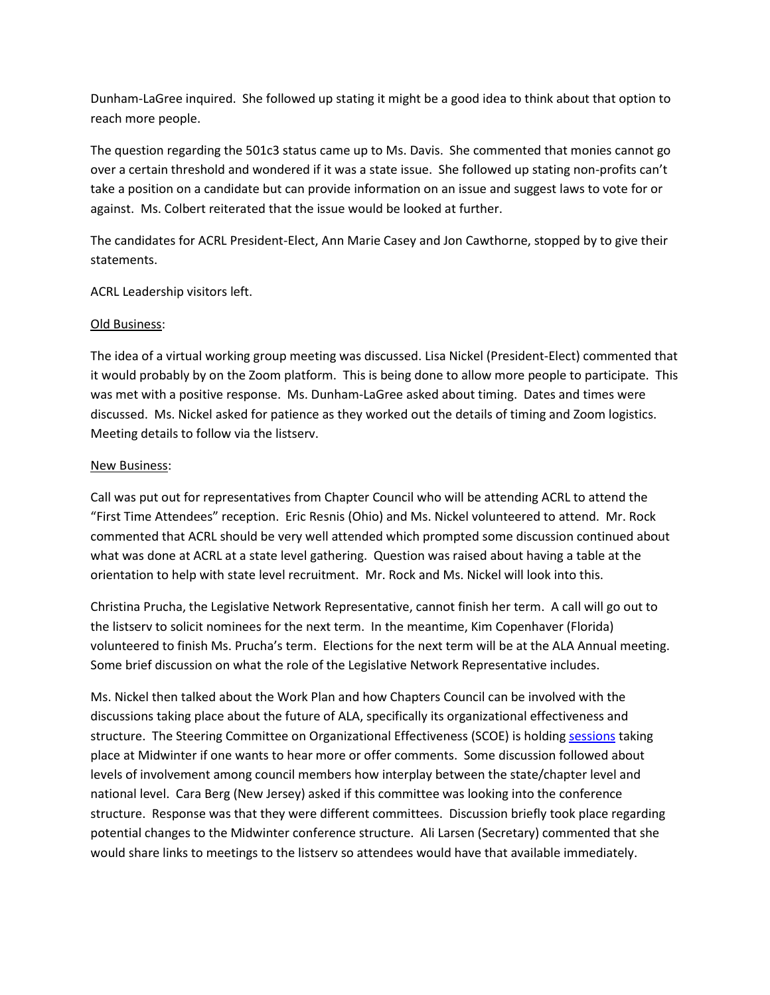Dunham-LaGree inquired. She followed up stating it might be a good idea to think about that option to reach more people.

The question regarding the 501c3 status came up to Ms. Davis. She commented that monies cannot go over a certain threshold and wondered if it was a state issue. She followed up stating non-profits can't take a position on a candidate but can provide information on an issue and suggest laws to vote for or against. Ms. Colbert reiterated that the issue would be looked at further.

The candidates for ACRL President-Elect, Ann Marie Casey and Jon Cawthorne, stopped by to give their statements.

ACRL Leadership visitors left.

## Old Business:

The idea of a virtual working group meeting was discussed. Lisa Nickel (President-Elect) commented that it would probably by on the Zoom platform. This is being done to allow more people to participate. This was met with a positive response. Ms. Dunham-LaGree asked about timing. Dates and times were discussed. Ms. Nickel asked for patience as they worked out the details of timing and Zoom logistics. Meeting details to follow via the listserv.

## New Business:

Call was put out for representatives from Chapter Council who will be attending ACRL to attend the "First Time Attendees" reception. Eric Resnis (Ohio) and Ms. Nickel volunteered to attend. Mr. Rock commented that ACRL should be very well attended which prompted some discussion continued about what was done at ACRL at a state level gathering. Question was raised about having a table at the orientation to help with state level recruitment. Mr. Rock and Ms. Nickel will look into this.

Christina Prucha, the Legislative Network Representative, cannot finish her term. A call will go out to the listserv to solicit nominees for the next term. In the meantime, Kim Copenhaver (Florida) volunteered to finish Ms. Prucha's term. Elections for the next term will be at the ALA Annual meeting. Some brief discussion on what the role of the Legislative Network Representative includes.

Ms. Nickel then talked about the Work Plan and how Chapters Council can be involved with the discussions taking place about the future of ALA, specifically its organizational effectiveness and structure. The Steering Committee on Organizational Effectiveness (SCOE) is holdin[g sessions](https://www.acrl.ala.org/acrlinsider/archives/17027) taking place at Midwinter if one wants to hear more or offer comments. Some discussion followed about levels of involvement among council members how interplay between the state/chapter level and national level. Cara Berg (New Jersey) asked if this committee was looking into the conference structure. Response was that they were different committees. Discussion briefly took place regarding potential changes to the Midwinter conference structure. Ali Larsen (Secretary) commented that she would share links to meetings to the listserv so attendees would have that available immediately.